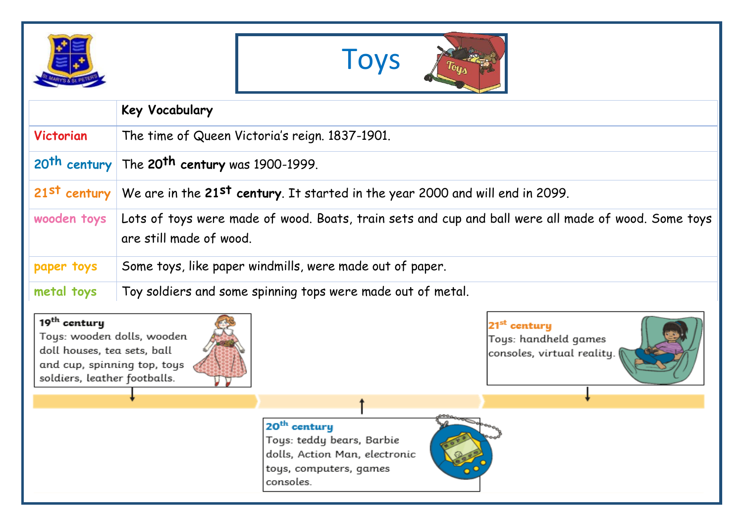| ÷я |  |
|----|--|



|                                                                                                                        | Key Vocabulary                                                                                                                 |                                                                                |
|------------------------------------------------------------------------------------------------------------------------|--------------------------------------------------------------------------------------------------------------------------------|--------------------------------------------------------------------------------|
| Victorian                                                                                                              | The time of Queen Victoria's reign. 1837-1901.                                                                                 |                                                                                |
|                                                                                                                        | $20$ <sup>th</sup> century The 20 <sup>th</sup> century was 1900-1999.                                                         |                                                                                |
|                                                                                                                        | 21st century We are in the 21st century. It started in the year 2000 and will end in 2099.                                     |                                                                                |
| wooden toys                                                                                                            | Lots of toys were made of wood. Boats, train sets and cup and ball were all made of wood. Some toys<br>are still made of wood. |                                                                                |
| paper toys                                                                                                             | Some toys, like paper windmills, were made out of paper.                                                                       |                                                                                |
| metal toys                                                                                                             | Toy soldiers and some spinning tops were made out of metal.                                                                    |                                                                                |
| 19 <sup>th</sup> century<br>doll houses, tea sets, ball<br>and cup, spinning top, toys<br>soldiers, leather footballs. | Toys: wooden dolls, wooden                                                                                                     | 21 <sup>st</sup> century<br>Toys: handheld games<br>consoles, virtual reality. |